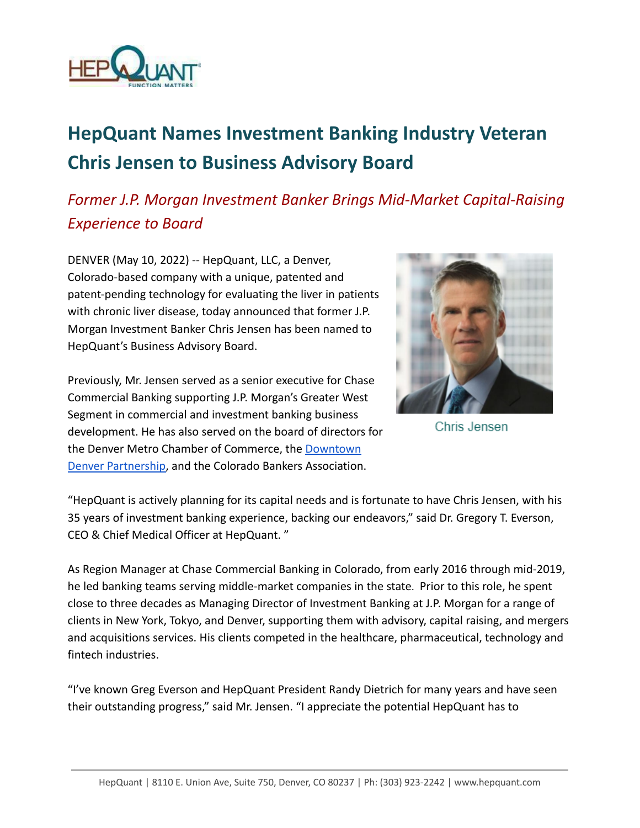

## **HepQuant Names Investment Banking Industry Veteran Chris Jensen to Business Advisory Board**

## *Former J.P. Morgan Investment Banker Brings Mid-Market Capital-Raising Experience to Board*

DENVER (May 10, 2022) -- HepQuant, LLC, a Denver, Colorado-based company with a unique, patented and patent-pending technology for evaluating the liver in patients with chronic liver disease, today announced that former J.P. Morgan Investment Banker Chris Jensen has been named to HepQuant's Business Advisory Board.

Previously, Mr. Jensen served as a senior executive for Chase Commercial Banking supporting J.P. Morgan's Greater West Segment in commercial and investment banking business development. He has also served on the board of directors for the Denver Metro Chamber of Commerce, the [Downtown](https://www.downtowndenver.com/) [Denver Partnership,](https://www.downtowndenver.com/) and the Colorado Bankers Association.



Chris Jensen

"HepQuant is actively planning for its capital needs and is fortunate to have Chris Jensen, with his 35 years of investment banking experience, backing our endeavors," said Dr. Gregory T. Everson, CEO & Chief Medical Officer at HepQuant. "

As Region Manager at Chase Commercial Banking in Colorado, from early 2016 through mid-2019, he led banking teams serving middle-market companies in the state. Prior to this role, he spent close to three decades as Managing Director of Investment Banking at J.P. Morgan for a range of clients in New York, Tokyo, and Denver, supporting them with advisory, capital raising, and mergers and acquisitions services. His clients competed in the healthcare, pharmaceutical, technology and fintech industries.

"I've known Greg Everson and HepQuant President Randy Dietrich for many years and have seen their outstanding progress," said Mr. Jensen. "I appreciate the potential HepQuant has to